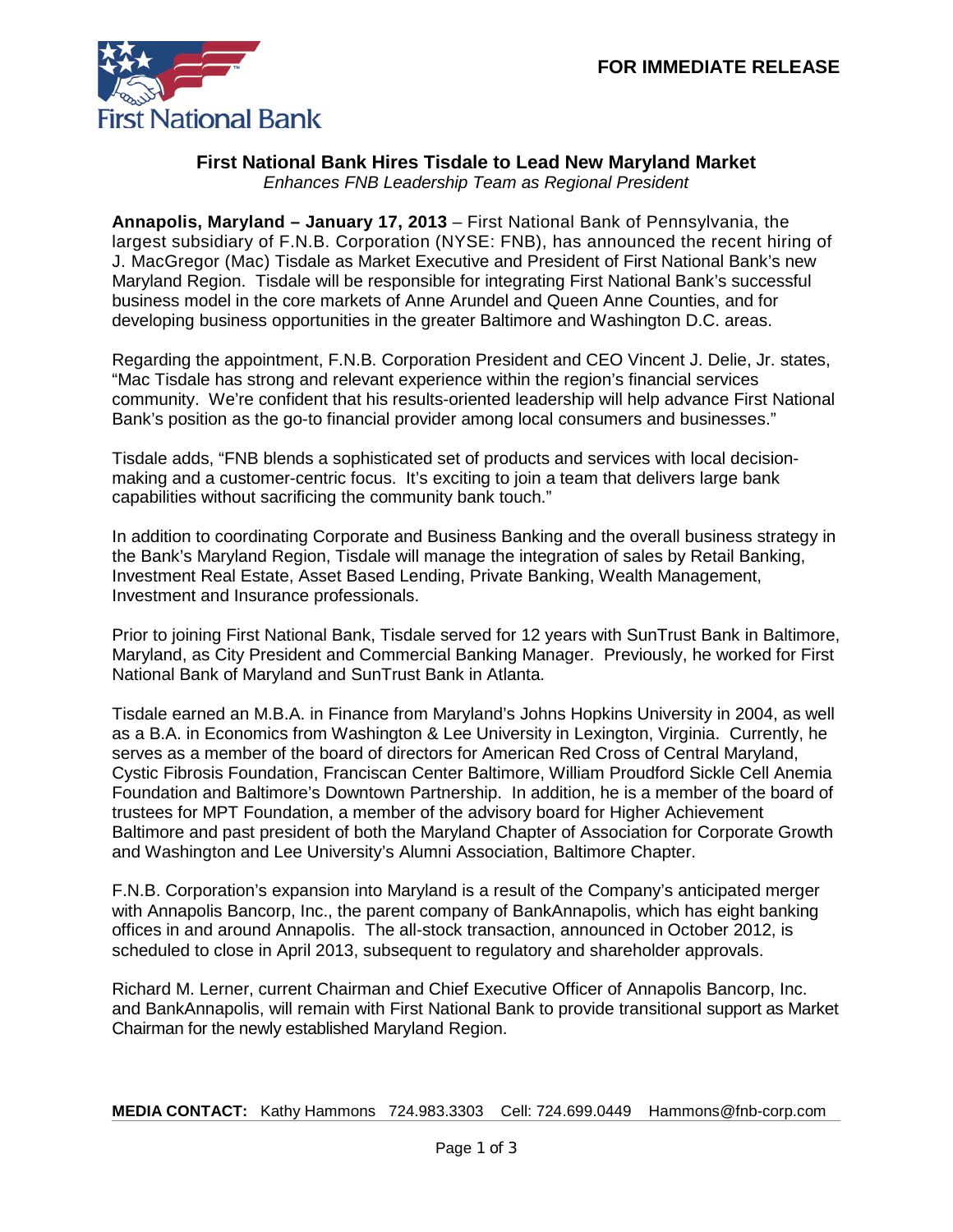

## **First National Bank Hires Tisdale to Lead New Maryland Market**

*Enhances FNB Leadership Team as Regional President*

**Annapolis, Maryland – January 17, 2013** – First National Bank of Pennsylvania, the largest subsidiary of F.N.B. Corporation (NYSE: FNB), has announced the recent hiring of J. MacGregor (Mac) Tisdale as Market Executive and President of First National Bank's new Maryland Region. Tisdale will be responsible for integrating First National Bank's successful business model in the core markets of Anne Arundel and Queen Anne Counties, and for developing business opportunities in the greater Baltimore and Washington D.C. areas.

Regarding the appointment, F.N.B. Corporation President and CEO Vincent J. Delie, Jr. states, "Mac Tisdale has strong and relevant experience within the region's financial services community. We're confident that his results-oriented leadership will help advance First National Bank's position as the go-to financial provider among local consumers and businesses."

Tisdale adds, "FNB blends a sophisticated set of products and services with local decisionmaking and a customer-centric focus. It's exciting to join a team that delivers large bank capabilities without sacrificing the community bank touch."

In addition to coordinating Corporate and Business Banking and the overall business strategy in the Bank's Maryland Region, Tisdale will manage the integration of sales by Retail Banking, Investment Real Estate, Asset Based Lending, Private Banking, Wealth Management, Investment and Insurance professionals.

Prior to joining First National Bank, Tisdale served for 12 years with SunTrust Bank in Baltimore, Maryland, as City President and Commercial Banking Manager. Previously, he worked for First National Bank of Maryland and SunTrust Bank in Atlanta.

Tisdale earned an M.B.A. in Finance from Maryland's Johns Hopkins University in 2004, as well as a B.A. in Economics from Washington & Lee University in Lexington, Virginia. Currently, he serves as a member of the board of directors for American Red Cross of Central Maryland, Cystic Fibrosis Foundation, Franciscan Center Baltimore, William Proudford Sickle Cell Anemia Foundation and Baltimore's Downtown Partnership. In addition, he is a member of the board of trustees for MPT Foundation, a member of the advisory board for Higher Achievement Baltimore and past president of both the Maryland Chapter of Association for Corporate Growth and Washington and Lee University's Alumni Association, Baltimore Chapter.

F.N.B. Corporation's expansion into Maryland is a result of the Company's anticipated merger with Annapolis Bancorp, Inc., the parent company of BankAnnapolis, which has eight banking offices in and around Annapolis. The all-stock transaction, announced in October 2012, is scheduled to close in April 2013, subsequent to regulatory and shareholder approvals.

Richard M. Lerner, current Chairman and Chief Executive Officer of Annapolis Bancorp, Inc. and BankAnnapolis, will remain with First National Bank to provide transitional support as Market Chairman for the newly established Maryland Region.

**MEDIA CONTACT:** Kathy Hammons 724.983.3303 Cell: 724.699.0449 Hammons@fnb-corp.com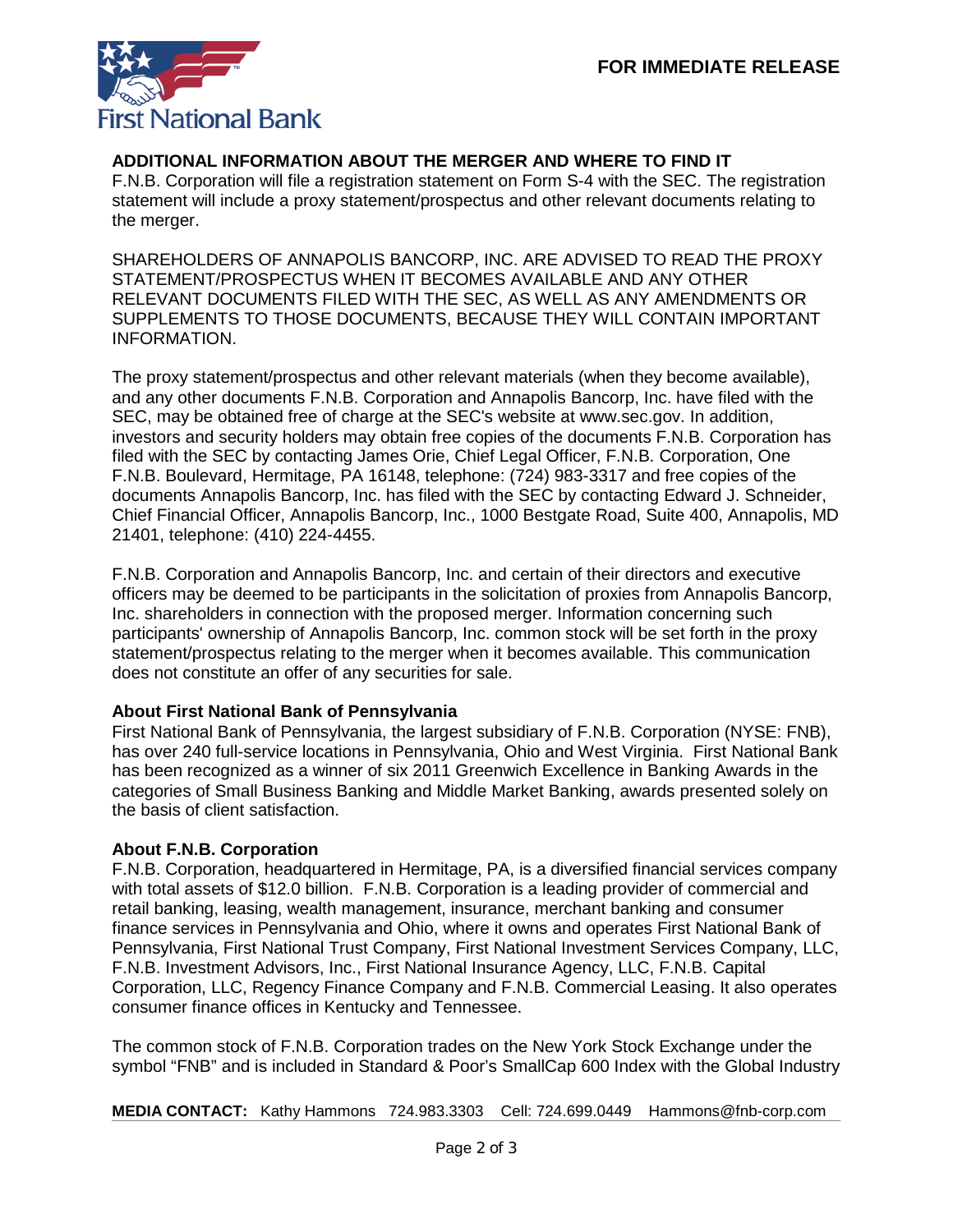

## **ADDITIONAL INFORMATION ABOUT THE MERGER AND WHERE TO FIND IT**

F.N.B. Corporation will file a registration statement on Form S-4 with the SEC. The registration statement will include a proxy statement/prospectus and other relevant documents relating to the merger.

SHAREHOLDERS OF ANNAPOLIS BANCORP, INC. ARE ADVISED TO READ THE PROXY STATEMENT/PROSPECTUS WHEN IT BECOMES AVAILABLE AND ANY OTHER RELEVANT DOCUMENTS FILED WITH THE SEC, AS WELL AS ANY AMENDMENTS OR SUPPLEMENTS TO THOSE DOCUMENTS, BECAUSE THEY WILL CONTAIN IMPORTANT INFORMATION.

The proxy statement/prospectus and other relevant materials (when they become available), and any other documents F.N.B. Corporation and Annapolis Bancorp, Inc. have filed with the SEC, may be obtained free of charge at the SEC's website at www.sec.gov. In addition, investors and security holders may obtain free copies of the documents F.N.B. Corporation has filed with the SEC by contacting James Orie, Chief Legal Officer, F.N.B. Corporation, One F.N.B. Boulevard, Hermitage, PA 16148, telephone: (724) 983-3317 and free copies of the documents Annapolis Bancorp, Inc. has filed with the SEC by contacting Edward J. Schneider, Chief Financial Officer, Annapolis Bancorp, Inc., 1000 Bestgate Road, Suite 400, Annapolis, MD 21401, telephone: (410) 224-4455.

F.N.B. Corporation and Annapolis Bancorp, Inc. and certain of their directors and executive officers may be deemed to be participants in the solicitation of proxies from Annapolis Bancorp, Inc. shareholders in connection with the proposed merger. Information concerning such participants' ownership of Annapolis Bancorp, Inc. common stock will be set forth in the proxy statement/prospectus relating to the merger when it becomes available. This communication does not constitute an offer of any securities for sale.

## **About First National Bank of Pennsylvania**

First National Bank of Pennsylvania, the largest subsidiary of F.N.B. Corporation (NYSE: FNB), has over 240 full-service locations in Pennsylvania, Ohio and West Virginia. First National Bank has been recognized as a winner of six 2011 Greenwich Excellence in Banking Awards in the categories of Small Business Banking and Middle Market Banking, awards presented solely on the basis of client satisfaction.

## **About F.N.B. Corporation**

F.N.B. Corporation, headquartered in Hermitage, PA, is a diversified financial services company with total assets of \$12.0 billion. F.N.B. Corporation is a leading provider of commercial and retail banking, leasing, wealth management, insurance, merchant banking and consumer finance services in Pennsylvania and Ohio, where it owns and operates First National Bank of Pennsylvania, First National Trust Company, First National Investment Services Company, LLC, F.N.B. Investment Advisors, Inc., First National Insurance Agency, LLC, F.N.B. Capital Corporation, LLC, Regency Finance Company and F.N.B. Commercial Leasing. It also operates consumer finance offices in Kentucky and Tennessee.

The common stock of F.N.B. Corporation trades on the New York Stock Exchange under the symbol "FNB" and is included in Standard & Poor's SmallCap 600 Index with the Global Industry

**MEDIA CONTACT:** Kathy Hammons 724.983.3303 Cell: 724.699.0449 Hammons@fnb-corp.com